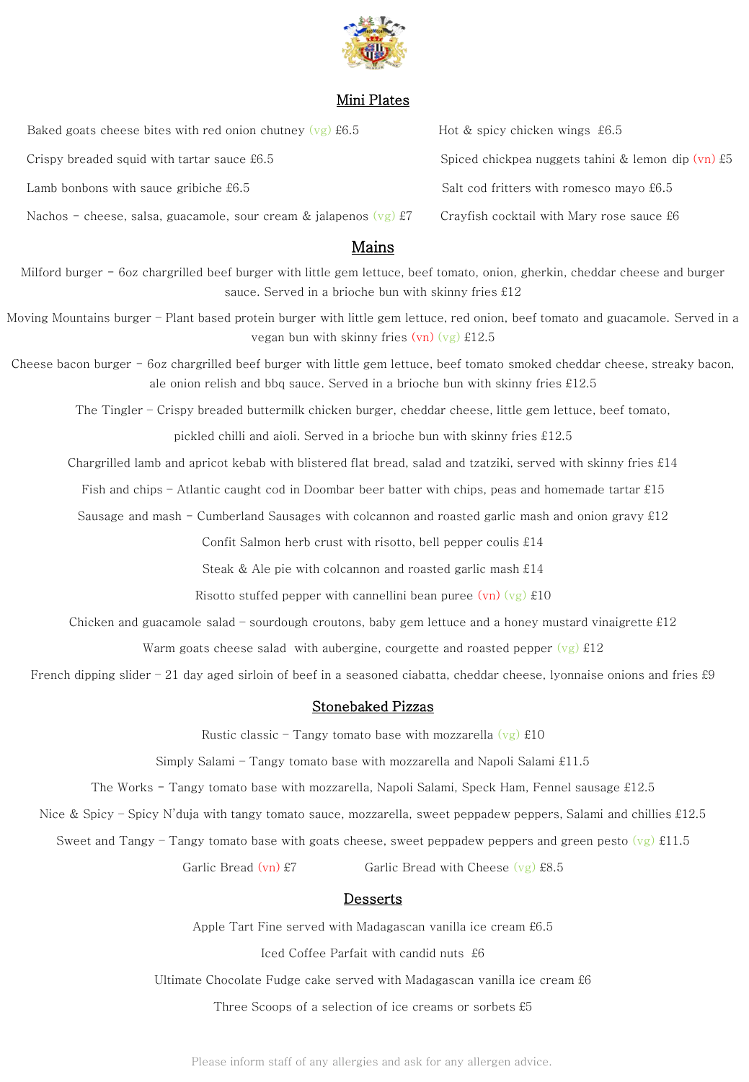

### Mini Plates

| Baked goats cheese bites with red onion chutney $(yg)$ £6.5         | Hot $&$ spicy chicken wings $£6.5$                   |
|---------------------------------------------------------------------|------------------------------------------------------|
| Crispy breaded squid with tartar sauce $£6.5$                       | Spiced chickpea nuggets tahini & lemon dip $(vn)$ £5 |
| Lamb bonbons with sauce gribiche $£6.5$                             | Salt cod fritters with romesco mayo £6.5             |
| Nachos – cheese, salsa, guacamole, sour cream & jalapenos $(vg)$ £7 | Crayfish cocktail with Mary rose sauce £6            |
|                                                                     |                                                      |

# Mains

Milford burger - 6oz chargrilled beef burger with little gem lettuce, beef tomato, onion, gherkin, cheddar cheese and burger sauce. Served in a brioche bun with skinny fries £12

Moving Mountains burger – Plant based protein burger with little gem lettuce, red onion, beef tomato and guacamole. Served in a vegan bun with skinny fries  $(vn)$   $(vg)$  £12.5

Cheese bacon burger - 6oz chargrilled beef burger with little gem lettuce, beef tomato smoked cheddar cheese, streaky bacon, ale onion relish and bbq sauce. Served in a brioche bun with skinny fries £12.5

The Tingler – Crispy breaded buttermilk chicken burger, cheddar cheese, little gem lettuce, beef tomato,

pickled chilli and aioli. Served in a brioche bun with skinny fries £12.5

Chargrilled lamb and apricot kebab with blistered flat bread, salad and tzatziki, served with skinny fries £14

Fish and chips – Atlantic caught cod in Doombar beer batter with chips, peas and homemade tartar £15

Sausage and mash - Cumberland Sausages with colcannon and roasted garlic mash and onion gravy  $\pounds 12$ 

Confit Salmon herb crust with risotto, bell pepper coulis £14

Steak & Ale pie with colcannon and roasted garlic mash £14

Risotto stuffed pepper with cannellini bean puree  $(vn)(vg)$  £10

Chicken and guacamole salad – sourdough croutons, baby gem lettuce and a honey mustard vinaigrette  $\pounds 12$ 

Warm goats cheese salad with aubergine, courgette and roasted pepper  $(vg)$  £12

French dipping slider  $-21$  day aged sirloin of beef in a seasoned ciabatta, cheddar cheese, lyonnaise onions and fries  $£9$ 

#### Stonebaked Pizzas

Rustic classic – Tangy tomato base with mozzarella  $(vg)$  £10

Simply Salami – Tangy tomato base with mozzarella and Napoli Salami £11.5

The Works - Tangy tomato base with mozzarella, Napoli Salami, Speck Ham, Fennel sausage £12.5

Nice & Spicy – Spicy N'duja with tangy tomato sauce, mozzarella, sweet peppadew peppers, Salami and chillies £12.5

Sweet and Tangy – Tangy tomato base with goats cheese, sweet peppadew peppers and green pesto (vg)  $\text{\pounds}11.5$ 

Garlic Bread (vn)  $\text{\textsterling}7$  Garlic Bread with Cheese (vg)  $\text{\textsterling}8.5$ 

### Desserts

Apple Tart Fine served with Madagascan vanilla ice cream £6.5

Iced Coffee Parfait with candid nuts £6

Ultimate Chocolate Fudge cake served with Madagascan vanilla ice cream £6

Three Scoops of a selection of ice creams or sorbets £5

Please inform staff of any allergies and ask for any allergen advice.